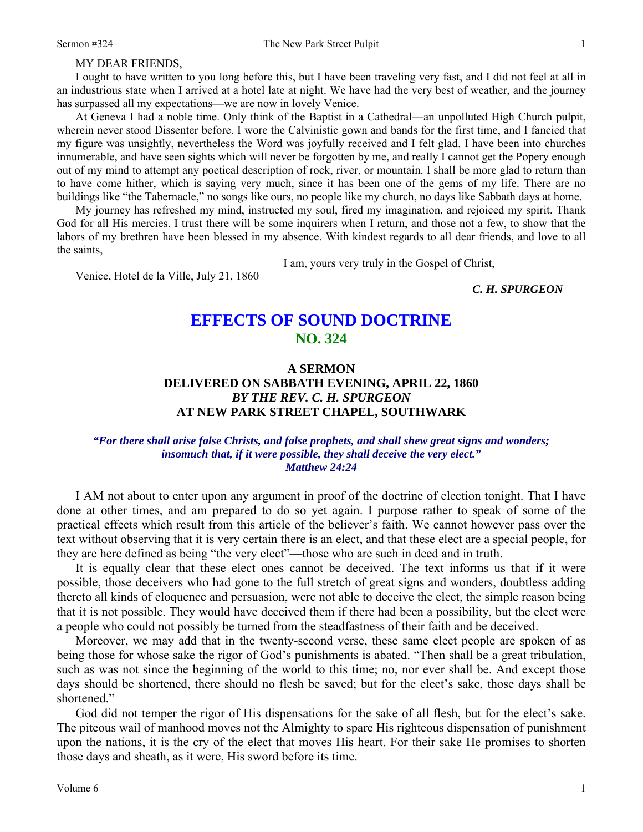## MY DEAR FRIENDS,

I ought to have written to you long before this, but I have been traveling very fast, and I did not feel at all in an industrious state when I arrived at a hotel late at night. We have had the very best of weather, and the journey has surpassed all my expectations—we are now in lovely Venice.

At Geneva I had a noble time. Only think of the Baptist in a Cathedral—an unpolluted High Church pulpit, wherein never stood Dissenter before. I wore the Calvinistic gown and bands for the first time, and I fancied that my figure was unsightly, nevertheless the Word was joyfully received and I felt glad. I have been into churches innumerable, and have seen sights which will never be forgotten by me, and really I cannot get the Popery enough out of my mind to attempt any poetical description of rock, river, or mountain. I shall be more glad to return than to have come hither, which is saying very much, since it has been one of the gems of my life. There are no buildings like "the Tabernacle," no songs like ours, no people like my church, no days like Sabbath days at home.

My journey has refreshed my mind, instructed my soul, fired my imagination, and rejoiced my spirit. Thank God for all His mercies. I trust there will be some inquirers when I return, and those not a few, to show that the labors of my brethren have been blessed in my absence. With kindest regards to all dear friends, and love to all the saints,

I am, yours very truly in the Gospel of Christ, Venice, Hotel de la Ville, July 21, 1860

*C. H. SPURGEON* 

## **EFFECTS OF SOUND DOCTRINE NO. 324**

## **A SERMON DELIVERED ON SABBATH EVENING, APRIL 22, 1860**  *BY THE REV. C. H. SPURGEON*  **AT NEW PARK STREET CHAPEL, SOUTHWARK**

## *"For there shall arise false Christs, and false prophets, and shall shew great signs and wonders; insomuch that, if it were possible, they shall deceive the very elect." Matthew 24:24*

I AM not about to enter upon any argument in proof of the doctrine of election tonight. That I have done at other times, and am prepared to do so yet again. I purpose rather to speak of some of the practical effects which result from this article of the believer's faith. We cannot however pass over the text without observing that it is very certain there is an elect, and that these elect are a special people, for they are here defined as being "the very elect"—those who are such in deed and in truth.

It is equally clear that these elect ones cannot be deceived. The text informs us that if it were possible, those deceivers who had gone to the full stretch of great signs and wonders, doubtless adding thereto all kinds of eloquence and persuasion, were not able to deceive the elect, the simple reason being that it is not possible. They would have deceived them if there had been a possibility, but the elect were a people who could not possibly be turned from the steadfastness of their faith and be deceived.

Moreover, we may add that in the twenty-second verse, these same elect people are spoken of as being those for whose sake the rigor of God's punishments is abated. "Then shall be a great tribulation, such as was not since the beginning of the world to this time; no, nor ever shall be. And except those days should be shortened, there should no flesh be saved; but for the elect's sake, those days shall be shortened."

God did not temper the rigor of His dispensations for the sake of all flesh, but for the elect's sake. The piteous wail of manhood moves not the Almighty to spare His righteous dispensation of punishment upon the nations, it is the cry of the elect that moves His heart. For their sake He promises to shorten those days and sheath, as it were, His sword before its time.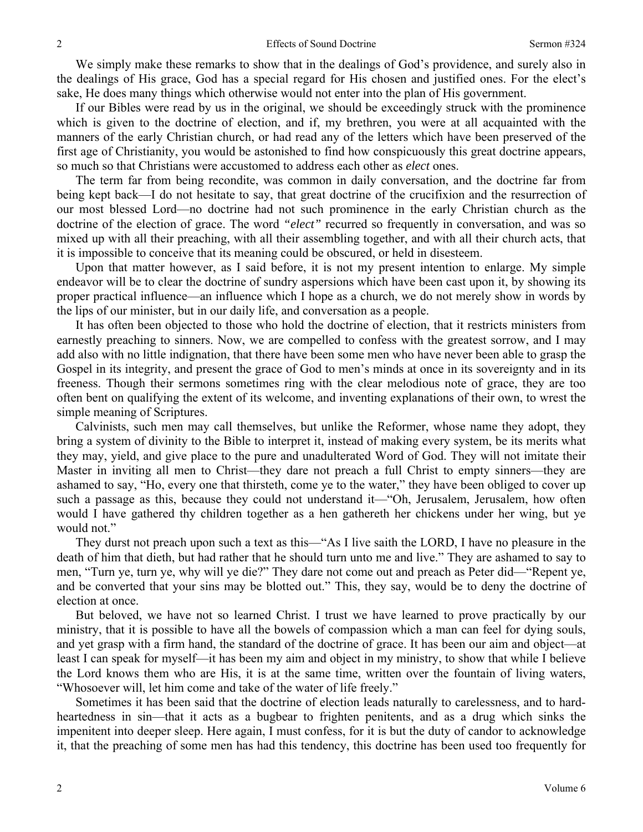We simply make these remarks to show that in the dealings of God's providence, and surely also in the dealings of His grace, God has a special regard for His chosen and justified ones. For the elect's sake, He does many things which otherwise would not enter into the plan of His government.

If our Bibles were read by us in the original, we should be exceedingly struck with the prominence which is given to the doctrine of election, and if, my brethren, you were at all acquainted with the manners of the early Christian church, or had read any of the letters which have been preserved of the first age of Christianity, you would be astonished to find how conspicuously this great doctrine appears, so much so that Christians were accustomed to address each other as *elect* ones.

The term far from being recondite, was common in daily conversation, and the doctrine far from being kept back—I do not hesitate to say, that great doctrine of the crucifixion and the resurrection of our most blessed Lord—no doctrine had not such prominence in the early Christian church as the doctrine of the election of grace. The word *"elect"* recurred so frequently in conversation, and was so mixed up with all their preaching, with all their assembling together, and with all their church acts, that it is impossible to conceive that its meaning could be obscured, or held in disesteem.

Upon that matter however, as I said before, it is not my present intention to enlarge. My simple endeavor will be to clear the doctrine of sundry aspersions which have been cast upon it, by showing its proper practical influence—an influence which I hope as a church, we do not merely show in words by the lips of our minister, but in our daily life, and conversation as a people.

It has often been objected to those who hold the doctrine of election, that it restricts ministers from earnestly preaching to sinners. Now, we are compelled to confess with the greatest sorrow, and I may add also with no little indignation, that there have been some men who have never been able to grasp the Gospel in its integrity, and present the grace of God to men's minds at once in its sovereignty and in its freeness. Though their sermons sometimes ring with the clear melodious note of grace, they are too often bent on qualifying the extent of its welcome, and inventing explanations of their own, to wrest the simple meaning of Scriptures.

Calvinists, such men may call themselves, but unlike the Reformer, whose name they adopt, they bring a system of divinity to the Bible to interpret it, instead of making every system, be its merits what they may, yield, and give place to the pure and unadulterated Word of God. They will not imitate their Master in inviting all men to Christ—they dare not preach a full Christ to empty sinners—they are ashamed to say, "Ho, every one that thirsteth, come ye to the water," they have been obliged to cover up such a passage as this, because they could not understand it—"Oh, Jerusalem, Jerusalem, how often would I have gathered thy children together as a hen gathereth her chickens under her wing, but ye would not."

They durst not preach upon such a text as this—"As I live saith the LORD, I have no pleasure in the death of him that dieth, but had rather that he should turn unto me and live." They are ashamed to say to men, "Turn ye, turn ye, why will ye die?" They dare not come out and preach as Peter did—"Repent ye, and be converted that your sins may be blotted out." This, they say, would be to deny the doctrine of election at once.

But beloved, we have not so learned Christ. I trust we have learned to prove practically by our ministry, that it is possible to have all the bowels of compassion which a man can feel for dying souls, and yet grasp with a firm hand, the standard of the doctrine of grace. It has been our aim and object—at least I can speak for myself—it has been my aim and object in my ministry, to show that while I believe the Lord knows them who are His, it is at the same time, written over the fountain of living waters, "Whosoever will, let him come and take of the water of life freely."

Sometimes it has been said that the doctrine of election leads naturally to carelessness, and to hardheartedness in sin—that it acts as a bugbear to frighten penitents, and as a drug which sinks the impenitent into deeper sleep. Here again, I must confess, for it is but the duty of candor to acknowledge it, that the preaching of some men has had this tendency, this doctrine has been used too frequently for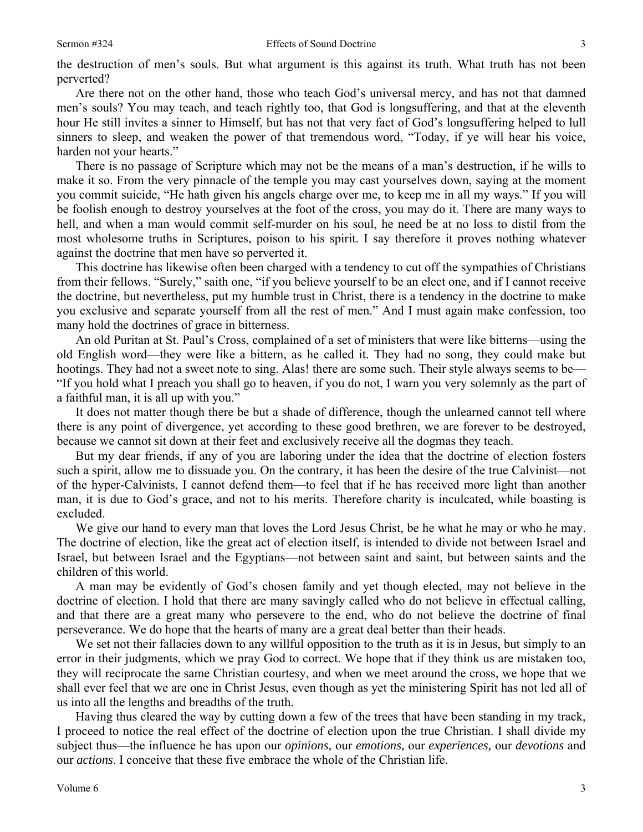3

the destruction of men's souls. But what argument is this against its truth. What truth has not been perverted?

Are there not on the other hand, those who teach God's universal mercy, and has not that damned men's souls? You may teach, and teach rightly too, that God is longsuffering, and that at the eleventh hour He still invites a sinner to Himself, but has not that very fact of God's longsuffering helped to lull sinners to sleep, and weaken the power of that tremendous word, "Today, if ye will hear his voice, harden not your hearts."

There is no passage of Scripture which may not be the means of a man's destruction, if he wills to make it so. From the very pinnacle of the temple you may cast yourselves down, saying at the moment you commit suicide, "He hath given his angels charge over me, to keep me in all my ways." If you will be foolish enough to destroy yourselves at the foot of the cross, you may do it. There are many ways to hell, and when a man would commit self-murder on his soul, he need be at no loss to distil from the most wholesome truths in Scriptures, poison to his spirit. I say therefore it proves nothing whatever against the doctrine that men have so perverted it.

This doctrine has likewise often been charged with a tendency to cut off the sympathies of Christians from their fellows. "Surely," saith one, "if you believe yourself to be an elect one, and if I cannot receive the doctrine, but nevertheless, put my humble trust in Christ, there is a tendency in the doctrine to make you exclusive and separate yourself from all the rest of men." And I must again make confession, too many hold the doctrines of grace in bitterness.

An old Puritan at St. Paul's Cross, complained of a set of ministers that were like bitterns—using the old English word—they were like a bittern, as he called it. They had no song, they could make but hootings. They had not a sweet note to sing. Alas! there are some such. Their style always seems to be— "If you hold what I preach you shall go to heaven, if you do not, I warn you very solemnly as the part of a faithful man, it is all up with you."

It does not matter though there be but a shade of difference, though the unlearned cannot tell where there is any point of divergence, yet according to these good brethren, we are forever to be destroyed, because we cannot sit down at their feet and exclusively receive all the dogmas they teach.

But my dear friends, if any of you are laboring under the idea that the doctrine of election fosters such a spirit, allow me to dissuade you. On the contrary, it has been the desire of the true Calvinist—not of the hyper-Calvinists, I cannot defend them—to feel that if he has received more light than another man, it is due to God's grace, and not to his merits. Therefore charity is inculcated, while boasting is excluded.

We give our hand to every man that loves the Lord Jesus Christ, be he what he may or who he may. The doctrine of election, like the great act of election itself, is intended to divide not between Israel and Israel, but between Israel and the Egyptians—not between saint and saint, but between saints and the children of this world.

A man may be evidently of God's chosen family and yet though elected, may not believe in the doctrine of election. I hold that there are many savingly called who do not believe in effectual calling, and that there are a great many who persevere to the end, who do not believe the doctrine of final perseverance. We do hope that the hearts of many are a great deal better than their heads.

We set not their fallacies down to any willful opposition to the truth as it is in Jesus, but simply to an error in their judgments, which we pray God to correct. We hope that if they think us are mistaken too, they will reciprocate the same Christian courtesy, and when we meet around the cross, we hope that we shall ever feel that we are one in Christ Jesus, even though as yet the ministering Spirit has not led all of us into all the lengths and breadths of the truth.

Having thus cleared the way by cutting down a few of the trees that have been standing in my track, I proceed to notice the real effect of the doctrine of election upon the true Christian. I shall divide my subject thus—the influence he has upon our *opinions,* our *emotions,* our *experiences,* our *devotions* and our *actions*. I conceive that these five embrace the whole of the Christian life.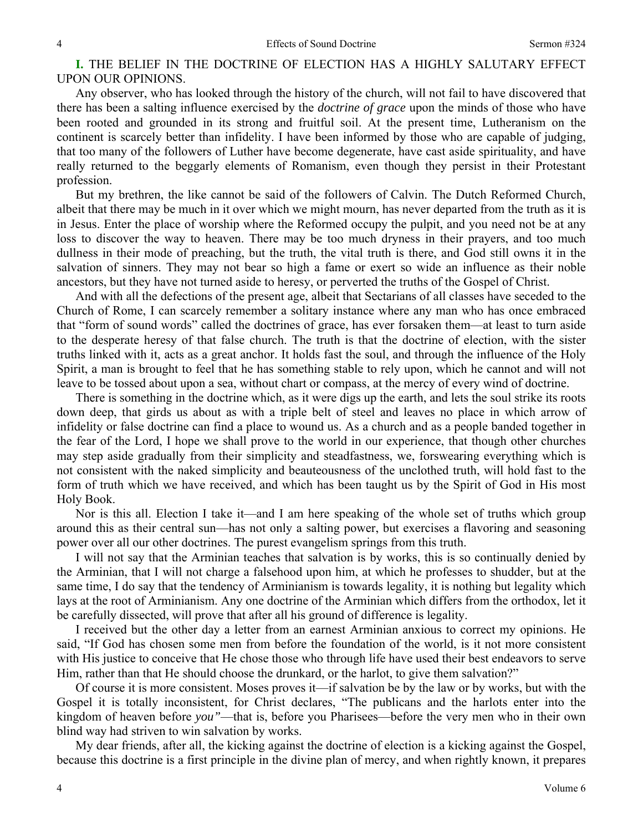**I.** THE BELIEF IN THE DOCTRINE OF ELECTION HAS A HIGHLY SALUTARY EFFECT UPON OUR OPINIONS.

Any observer, who has looked through the history of the church, will not fail to have discovered that there has been a salting influence exercised by the *doctrine of grace* upon the minds of those who have been rooted and grounded in its strong and fruitful soil. At the present time, Lutheranism on the continent is scarcely better than infidelity. I have been informed by those who are capable of judging, that too many of the followers of Luther have become degenerate, have cast aside spirituality, and have really returned to the beggarly elements of Romanism, even though they persist in their Protestant profession.

But my brethren, the like cannot be said of the followers of Calvin. The Dutch Reformed Church, albeit that there may be much in it over which we might mourn, has never departed from the truth as it is in Jesus. Enter the place of worship where the Reformed occupy the pulpit, and you need not be at any loss to discover the way to heaven. There may be too much dryness in their prayers, and too much dullness in their mode of preaching, but the truth, the vital truth is there, and God still owns it in the salvation of sinners. They may not bear so high a fame or exert so wide an influence as their noble ancestors, but they have not turned aside to heresy, or perverted the truths of the Gospel of Christ.

And with all the defections of the present age, albeit that Sectarians of all classes have seceded to the Church of Rome, I can scarcely remember a solitary instance where any man who has once embraced that "form of sound words" called the doctrines of grace, has ever forsaken them—at least to turn aside to the desperate heresy of that false church. The truth is that the doctrine of election, with the sister truths linked with it, acts as a great anchor. It holds fast the soul, and through the influence of the Holy Spirit, a man is brought to feel that he has something stable to rely upon, which he cannot and will not leave to be tossed about upon a sea, without chart or compass, at the mercy of every wind of doctrine.

There is something in the doctrine which, as it were digs up the earth, and lets the soul strike its roots down deep, that girds us about as with a triple belt of steel and leaves no place in which arrow of infidelity or false doctrine can find a place to wound us. As a church and as a people banded together in the fear of the Lord, I hope we shall prove to the world in our experience, that though other churches may step aside gradually from their simplicity and steadfastness, we, forswearing everything which is not consistent with the naked simplicity and beauteousness of the unclothed truth, will hold fast to the form of truth which we have received, and which has been taught us by the Spirit of God in His most Holy Book.

Nor is this all. Election I take it—and I am here speaking of the whole set of truths which group around this as their central sun—has not only a salting power, but exercises a flavoring and seasoning power over all our other doctrines. The purest evangelism springs from this truth.

I will not say that the Arminian teaches that salvation is by works, this is so continually denied by the Arminian, that I will not charge a falsehood upon him, at which he professes to shudder, but at the same time, I do say that the tendency of Arminianism is towards legality, it is nothing but legality which lays at the root of Arminianism. Any one doctrine of the Arminian which differs from the orthodox, let it be carefully dissected, will prove that after all his ground of difference is legality.

I received but the other day a letter from an earnest Arminian anxious to correct my opinions. He said, "If God has chosen some men from before the foundation of the world, is it not more consistent with His justice to conceive that He chose those who through life have used their best endeavors to serve Him, rather than that He should choose the drunkard, or the harlot, to give them salvation?"

Of course it is more consistent. Moses proves it—if salvation be by the law or by works, but with the Gospel it is totally inconsistent, for Christ declares, "The publicans and the harlots enter into the kingdom of heaven before *you"*—that is, before you Pharisees—before the very men who in their own blind way had striven to win salvation by works.

My dear friends, after all, the kicking against the doctrine of election is a kicking against the Gospel, because this doctrine is a first principle in the divine plan of mercy, and when rightly known, it prepares

4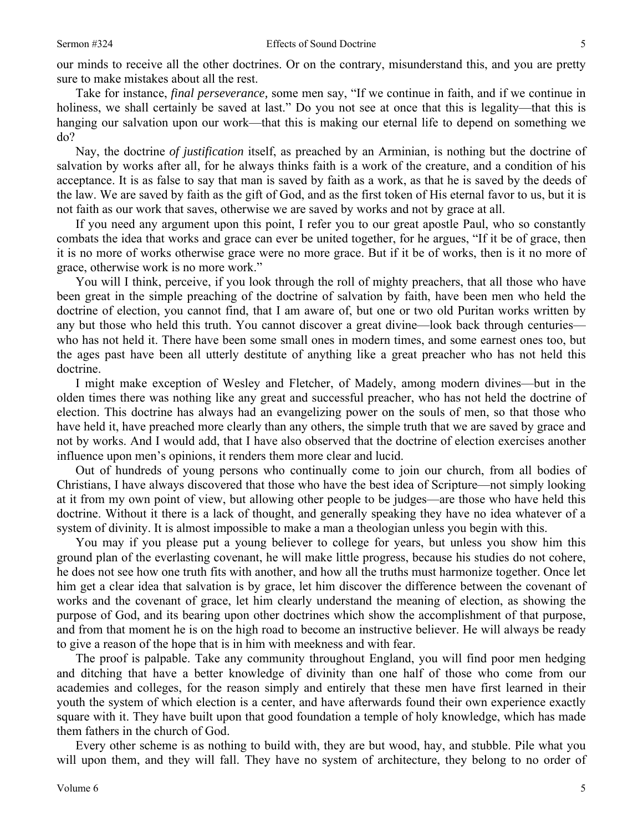our minds to receive all the other doctrines. Or on the contrary, misunderstand this, and you are pretty sure to make mistakes about all the rest.

Take for instance, *final perseverance,* some men say, "If we continue in faith, and if we continue in holiness, we shall certainly be saved at last." Do you not see at once that this is legality—that this is hanging our salvation upon our work—that this is making our eternal life to depend on something we do?

Nay, the doctrine *of justification* itself, as preached by an Arminian, is nothing but the doctrine of salvation by works after all, for he always thinks faith is a work of the creature, and a condition of his acceptance. It is as false to say that man is saved by faith as a work, as that he is saved by the deeds of the law. We are saved by faith as the gift of God, and as the first token of His eternal favor to us, but it is not faith as our work that saves, otherwise we are saved by works and not by grace at all.

If you need any argument upon this point, I refer you to our great apostle Paul, who so constantly combats the idea that works and grace can ever be united together, for he argues, "If it be of grace, then it is no more of works otherwise grace were no more grace. But if it be of works, then is it no more of grace, otherwise work is no more work."

You will I think, perceive, if you look through the roll of mighty preachers, that all those who have been great in the simple preaching of the doctrine of salvation by faith, have been men who held the doctrine of election, you cannot find, that I am aware of, but one or two old Puritan works written by any but those who held this truth. You cannot discover a great divine—look back through centuries who has not held it. There have been some small ones in modern times, and some earnest ones too, but the ages past have been all utterly destitute of anything like a great preacher who has not held this doctrine.

I might make exception of Wesley and Fletcher, of Madely, among modern divines—but in the olden times there was nothing like any great and successful preacher, who has not held the doctrine of election. This doctrine has always had an evangelizing power on the souls of men, so that those who have held it, have preached more clearly than any others, the simple truth that we are saved by grace and not by works. And I would add, that I have also observed that the doctrine of election exercises another influence upon men's opinions, it renders them more clear and lucid.

Out of hundreds of young persons who continually come to join our church, from all bodies of Christians, I have always discovered that those who have the best idea of Scripture—not simply looking at it from my own point of view, but allowing other people to be judges—are those who have held this doctrine. Without it there is a lack of thought, and generally speaking they have no idea whatever of a system of divinity. It is almost impossible to make a man a theologian unless you begin with this.

You may if you please put a young believer to college for years, but unless you show him this ground plan of the everlasting covenant, he will make little progress, because his studies do not cohere, he does not see how one truth fits with another, and how all the truths must harmonize together. Once let him get a clear idea that salvation is by grace, let him discover the difference between the covenant of works and the covenant of grace, let him clearly understand the meaning of election, as showing the purpose of God, and its bearing upon other doctrines which show the accomplishment of that purpose, and from that moment he is on the high road to become an instructive believer. He will always be ready to give a reason of the hope that is in him with meekness and with fear.

The proof is palpable. Take any community throughout England, you will find poor men hedging and ditching that have a better knowledge of divinity than one half of those who come from our academies and colleges, for the reason simply and entirely that these men have first learned in their youth the system of which election is a center, and have afterwards found their own experience exactly square with it. They have built upon that good foundation a temple of holy knowledge, which has made them fathers in the church of God.

Every other scheme is as nothing to build with, they are but wood, hay, and stubble. Pile what you will upon them, and they will fall. They have no system of architecture, they belong to no order of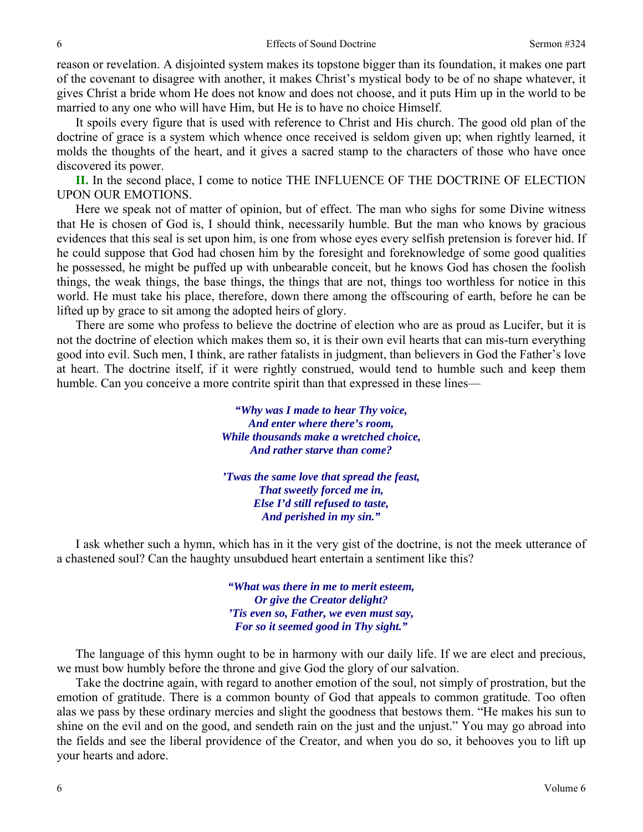reason or revelation. A disjointed system makes its topstone bigger than its foundation, it makes one part of the covenant to disagree with another, it makes Christ's mystical body to be of no shape whatever, it gives Christ a bride whom He does not know and does not choose, and it puts Him up in the world to be married to any one who will have Him, but He is to have no choice Himself.

It spoils every figure that is used with reference to Christ and His church. The good old plan of the doctrine of grace is a system which whence once received is seldom given up; when rightly learned, it molds the thoughts of the heart, and it gives a sacred stamp to the characters of those who have once discovered its power.

**II.** In the second place, I come to notice THE INFLUENCE OF THE DOCTRINE OF ELECTION UPON OUR EMOTIONS.

Here we speak not of matter of opinion, but of effect. The man who sighs for some Divine witness that He is chosen of God is, I should think, necessarily humble. But the man who knows by gracious evidences that this seal is set upon him, is one from whose eyes every selfish pretension is forever hid. If he could suppose that God had chosen him by the foresight and foreknowledge of some good qualities he possessed, he might be puffed up with unbearable conceit, but he knows God has chosen the foolish things, the weak things, the base things, the things that are not, things too worthless for notice in this world. He must take his place, therefore, down there among the offscouring of earth, before he can be lifted up by grace to sit among the adopted heirs of glory.

There are some who profess to believe the doctrine of election who are as proud as Lucifer, but it is not the doctrine of election which makes them so, it is their own evil hearts that can mis-turn everything good into evil. Such men, I think, are rather fatalists in judgment, than believers in God the Father's love at heart. The doctrine itself, if it were rightly construed, would tend to humble such and keep them humble. Can you conceive a more contrite spirit than that expressed in these lines—

> *"Why was I made to hear Thy voice, And enter where there's room, While thousands make a wretched choice, And rather starve than come?*

> *'Twas the same love that spread the feast, That sweetly forced me in, Else I'd still refused to taste, And perished in my sin."*

I ask whether such a hymn, which has in it the very gist of the doctrine, is not the meek utterance of a chastened soul? Can the haughty unsubdued heart entertain a sentiment like this?

> *"What was there in me to merit esteem, Or give the Creator delight? 'Tis even so, Father, we even must say, For so it seemed good in Thy sight."*

The language of this hymn ought to be in harmony with our daily life. If we are elect and precious, we must bow humbly before the throne and give God the glory of our salvation.

Take the doctrine again, with regard to another emotion of the soul, not simply of prostration, but the emotion of gratitude. There is a common bounty of God that appeals to common gratitude. Too often alas we pass by these ordinary mercies and slight the goodness that bestows them. "He makes his sun to shine on the evil and on the good, and sendeth rain on the just and the unjust." You may go abroad into the fields and see the liberal providence of the Creator, and when you do so, it behooves you to lift up your hearts and adore.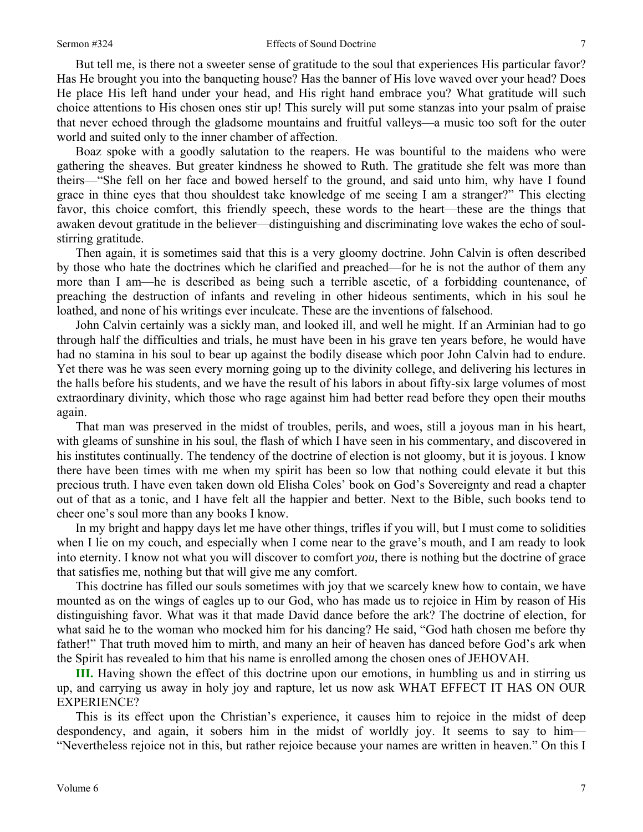But tell me, is there not a sweeter sense of gratitude to the soul that experiences His particular favor? Has He brought you into the banqueting house? Has the banner of His love waved over your head? Does He place His left hand under your head, and His right hand embrace you? What gratitude will such choice attentions to His chosen ones stir up! This surely will put some stanzas into your psalm of praise that never echoed through the gladsome mountains and fruitful valleys—a music too soft for the outer world and suited only to the inner chamber of affection.

Boaz spoke with a goodly salutation to the reapers. He was bountiful to the maidens who were gathering the sheaves. But greater kindness he showed to Ruth. The gratitude she felt was more than theirs—"She fell on her face and bowed herself to the ground, and said unto him, why have I found grace in thine eyes that thou shouldest take knowledge of me seeing I am a stranger?" This electing favor, this choice comfort, this friendly speech, these words to the heart—these are the things that awaken devout gratitude in the believer—distinguishing and discriminating love wakes the echo of soulstirring gratitude.

Then again, it is sometimes said that this is a very gloomy doctrine. John Calvin is often described by those who hate the doctrines which he clarified and preached—for he is not the author of them any more than I am—he is described as being such a terrible ascetic, of a forbidding countenance, of preaching the destruction of infants and reveling in other hideous sentiments, which in his soul he loathed, and none of his writings ever inculcate. These are the inventions of falsehood.

John Calvin certainly was a sickly man, and looked ill, and well he might. If an Arminian had to go through half the difficulties and trials, he must have been in his grave ten years before, he would have had no stamina in his soul to bear up against the bodily disease which poor John Calvin had to endure. Yet there was he was seen every morning going up to the divinity college, and delivering his lectures in the halls before his students, and we have the result of his labors in about fifty-six large volumes of most extraordinary divinity, which those who rage against him had better read before they open their mouths again.

That man was preserved in the midst of troubles, perils, and woes, still a joyous man in his heart, with gleams of sunshine in his soul, the flash of which I have seen in his commentary, and discovered in his institutes continually. The tendency of the doctrine of election is not gloomy, but it is joyous. I know there have been times with me when my spirit has been so low that nothing could elevate it but this precious truth. I have even taken down old Elisha Coles' book on God's Sovereignty and read a chapter out of that as a tonic, and I have felt all the happier and better. Next to the Bible, such books tend to cheer one's soul more than any books I know.

In my bright and happy days let me have other things, trifles if you will, but I must come to solidities when I lie on my couch, and especially when I come near to the grave's mouth, and I am ready to look into eternity. I know not what you will discover to comfort *you,* there is nothing but the doctrine of grace that satisfies me, nothing but that will give me any comfort.

This doctrine has filled our souls sometimes with joy that we scarcely knew how to contain, we have mounted as on the wings of eagles up to our God, who has made us to rejoice in Him by reason of His distinguishing favor. What was it that made David dance before the ark? The doctrine of election, for what said he to the woman who mocked him for his dancing? He said, "God hath chosen me before thy father!" That truth moved him to mirth, and many an heir of heaven has danced before God's ark when the Spirit has revealed to him that his name is enrolled among the chosen ones of JEHOVAH.

**III.** Having shown the effect of this doctrine upon our emotions, in humbling us and in stirring us up, and carrying us away in holy joy and rapture, let us now ask WHAT EFFECT IT HAS ON OUR EXPERIENCE?

This is its effect upon the Christian's experience, it causes him to rejoice in the midst of deep despondency, and again, it sobers him in the midst of worldly joy. It seems to say to him— "Nevertheless rejoice not in this, but rather rejoice because your names are written in heaven." On this I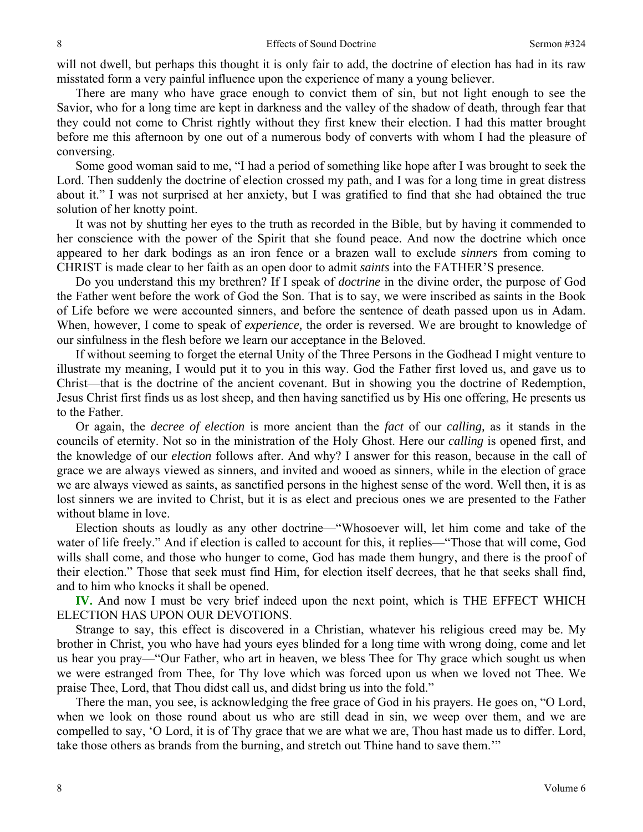will not dwell, but perhaps this thought it is only fair to add, the doctrine of election has had in its raw misstated form a very painful influence upon the experience of many a young believer.

There are many who have grace enough to convict them of sin, but not light enough to see the Savior, who for a long time are kept in darkness and the valley of the shadow of death, through fear that they could not come to Christ rightly without they first knew their election. I had this matter brought before me this afternoon by one out of a numerous body of converts with whom I had the pleasure of conversing.

Some good woman said to me, "I had a period of something like hope after I was brought to seek the Lord. Then suddenly the doctrine of election crossed my path, and I was for a long time in great distress about it." I was not surprised at her anxiety, but I was gratified to find that she had obtained the true solution of her knotty point.

It was not by shutting her eyes to the truth as recorded in the Bible, but by having it commended to her conscience with the power of the Spirit that she found peace. And now the doctrine which once appeared to her dark bodings as an iron fence or a brazen wall to exclude *sinners* from coming to CHRIST is made clear to her faith as an open door to admit *saints* into the FATHER'S presence.

Do you understand this my brethren? If I speak of *doctrine* in the divine order, the purpose of God the Father went before the work of God the Son. That is to say, we were inscribed as saints in the Book of Life before we were accounted sinners, and before the sentence of death passed upon us in Adam. When, however, I come to speak of *experience,* the order is reversed. We are brought to knowledge of our sinfulness in the flesh before we learn our acceptance in the Beloved.

If without seeming to forget the eternal Unity of the Three Persons in the Godhead I might venture to illustrate my meaning, I would put it to you in this way. God the Father first loved us, and gave us to Christ—that is the doctrine of the ancient covenant. But in showing you the doctrine of Redemption, Jesus Christ first finds us as lost sheep, and then having sanctified us by His one offering, He presents us to the Father.

Or again, the *decree of election* is more ancient than the *fact* of our *calling,* as it stands in the councils of eternity. Not so in the ministration of the Holy Ghost. Here our *calling* is opened first, and the knowledge of our *election* follows after. And why? I answer for this reason, because in the call of grace we are always viewed as sinners, and invited and wooed as sinners, while in the election of grace we are always viewed as saints, as sanctified persons in the highest sense of the word. Well then, it is as lost sinners we are invited to Christ, but it is as elect and precious ones we are presented to the Father without blame in love.

Election shouts as loudly as any other doctrine—"Whosoever will, let him come and take of the water of life freely." And if election is called to account for this, it replies—"Those that will come, God wills shall come, and those who hunger to come, God has made them hungry, and there is the proof of their election." Those that seek must find Him, for election itself decrees, that he that seeks shall find, and to him who knocks it shall be opened.

**IV.** And now I must be very brief indeed upon the next point, which is THE EFFECT WHICH ELECTION HAS UPON OUR DEVOTIONS.

Strange to say, this effect is discovered in a Christian, whatever his religious creed may be. My brother in Christ, you who have had yours eyes blinded for a long time with wrong doing, come and let us hear you pray—"Our Father, who art in heaven, we bless Thee for Thy grace which sought us when we were estranged from Thee, for Thy love which was forced upon us when we loved not Thee. We praise Thee, Lord, that Thou didst call us, and didst bring us into the fold."

There the man, you see, is acknowledging the free grace of God in his prayers. He goes on, "O Lord, when we look on those round about us who are still dead in sin, we weep over them, and we are compelled to say, 'O Lord, it is of Thy grace that we are what we are, Thou hast made us to differ. Lord, take those others as brands from the burning, and stretch out Thine hand to save them.'"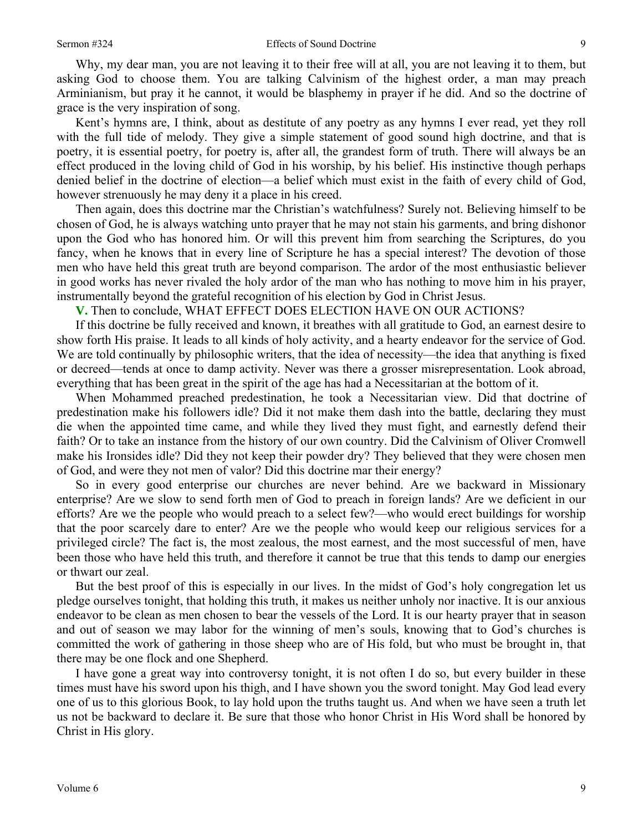Why, my dear man, you are not leaving it to their free will at all, you are not leaving it to them, but asking God to choose them. You are talking Calvinism of the highest order, a man may preach Arminianism, but pray it he cannot, it would be blasphemy in prayer if he did. And so the doctrine of grace is the very inspiration of song.

Kent's hymns are, I think, about as destitute of any poetry as any hymns I ever read, yet they roll with the full tide of melody. They give a simple statement of good sound high doctrine, and that is poetry, it is essential poetry, for poetry is, after all, the grandest form of truth. There will always be an effect produced in the loving child of God in his worship, by his belief. His instinctive though perhaps denied belief in the doctrine of election—a belief which must exist in the faith of every child of God, however strenuously he may deny it a place in his creed.

Then again, does this doctrine mar the Christian's watchfulness? Surely not. Believing himself to be chosen of God, he is always watching unto prayer that he may not stain his garments, and bring dishonor upon the God who has honored him. Or will this prevent him from searching the Scriptures, do you fancy, when he knows that in every line of Scripture he has a special interest? The devotion of those men who have held this great truth are beyond comparison. The ardor of the most enthusiastic believer in good works has never rivaled the holy ardor of the man who has nothing to move him in his prayer, instrumentally beyond the grateful recognition of his election by God in Christ Jesus.

**V.** Then to conclude, WHAT EFFECT DOES ELECTION HAVE ON OUR ACTIONS?

If this doctrine be fully received and known, it breathes with all gratitude to God, an earnest desire to show forth His praise. It leads to all kinds of holy activity, and a hearty endeavor for the service of God. We are told continually by philosophic writers, that the idea of necessity—the idea that anything is fixed or decreed—tends at once to damp activity. Never was there a grosser misrepresentation. Look abroad, everything that has been great in the spirit of the age has had a Necessitarian at the bottom of it.

When Mohammed preached predestination, he took a Necessitarian view. Did that doctrine of predestination make his followers idle? Did it not make them dash into the battle, declaring they must die when the appointed time came, and while they lived they must fight, and earnestly defend their faith? Or to take an instance from the history of our own country. Did the Calvinism of Oliver Cromwell make his Ironsides idle? Did they not keep their powder dry? They believed that they were chosen men of God, and were they not men of valor? Did this doctrine mar their energy?

So in every good enterprise our churches are never behind. Are we backward in Missionary enterprise? Are we slow to send forth men of God to preach in foreign lands? Are we deficient in our efforts? Are we the people who would preach to a select few?—who would erect buildings for worship that the poor scarcely dare to enter? Are we the people who would keep our religious services for a privileged circle? The fact is, the most zealous, the most earnest, and the most successful of men, have been those who have held this truth, and therefore it cannot be true that this tends to damp our energies or thwart our zeal.

But the best proof of this is especially in our lives. In the midst of God's holy congregation let us pledge ourselves tonight, that holding this truth, it makes us neither unholy nor inactive. It is our anxious endeavor to be clean as men chosen to bear the vessels of the Lord. It is our hearty prayer that in season and out of season we may labor for the winning of men's souls, knowing that to God's churches is committed the work of gathering in those sheep who are of His fold, but who must be brought in, that there may be one flock and one Shepherd.

I have gone a great way into controversy tonight, it is not often I do so, but every builder in these times must have his sword upon his thigh, and I have shown you the sword tonight. May God lead every one of us to this glorious Book, to lay hold upon the truths taught us. And when we have seen a truth let us not be backward to declare it. Be sure that those who honor Christ in His Word shall be honored by Christ in His glory.